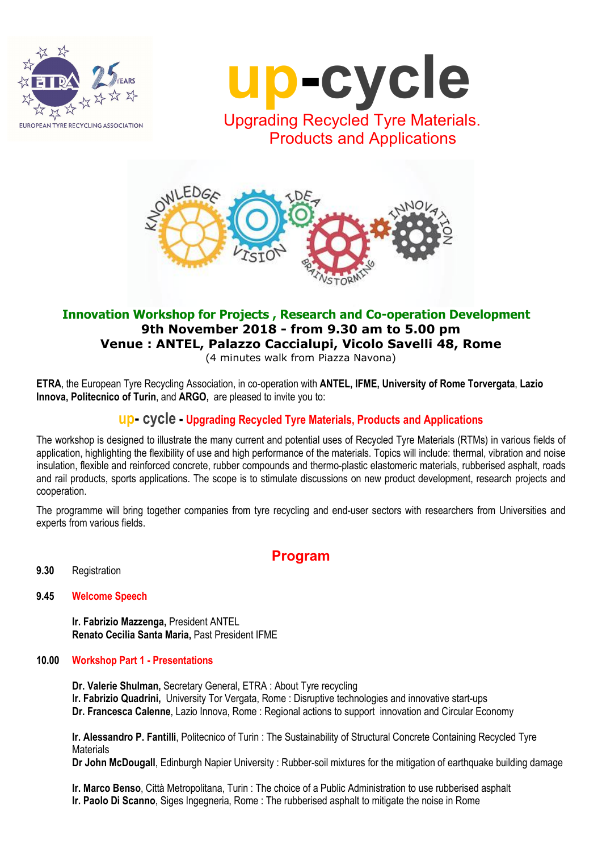



Products and Applications



## Innovation Workshop for Projects , Research and Co-operation Development 9th November 2018 - from 9.30 am to 5.00 pm Venue : ANTEL, Palazzo Caccialupi, Vicolo Savelli 48, Rome

(4 minutes walk from Piazza Navona)

ETRA, the European Tyre Recycling Association, in co-operation with ANTEL, IFME, University of Rome Torvergata, Lazio Innova, Politecnico of Turin, and ARGO, are pleased to invite you to:

# up- cycle - Upgrading Recycled Tyre Materials, Products and Applications

The workshop is designed to illustrate the many current and potential uses of Recycled Tyre Materials (RTMs) in various fields of application, highlighting the flexibility of use and high performance of the materials. Topics will include: thermal, vibration and noise insulation, flexible and reinforced concrete, rubber compounds and thermo-plastic elastomeric materials, rubberised asphalt, roads and rail products, sports applications. The scope is to stimulate discussions on new product development, research projects and cooperation.

The programme will bring together companies from tyre recycling and end-user sectors with researchers from Universities and experts from various fields.

## Program

9.30 Registration

## 9.45 Welcome Speech

Ir. Fabrizio Mazzenga, President ANTEL Renato Cecilia Santa Maria, Past President IFME

### 10.00 Workshop Part 1 - Presentations

Dr. Valerie Shulman, Secretary General, ETRA : About Tyre recycling Ir. Fabrizio Quadrini, University Tor Vergata, Rome : Disruptive technologies and innovative start-ups Dr. Francesca Calenne, Lazio Innova, Rome : Regional actions to support innovation and Circular Economy

Ir. Alessandro P. Fantilli, Politecnico of Turin : The Sustainability of Structural Concrete Containing Recycled Tyre **Materials** 

Dr John McDougall, Edinburgh Napier University : Rubber-soil mixtures for the mitigation of earthquake building damage

Ir. Marco Benso, Città Metropolitana, Turin : The choice of a Public Administration to use rubberised asphalt Ir. Paolo Di Scanno, Siges Ingegneria, Rome : The rubberised asphalt to mitigate the noise in Rome